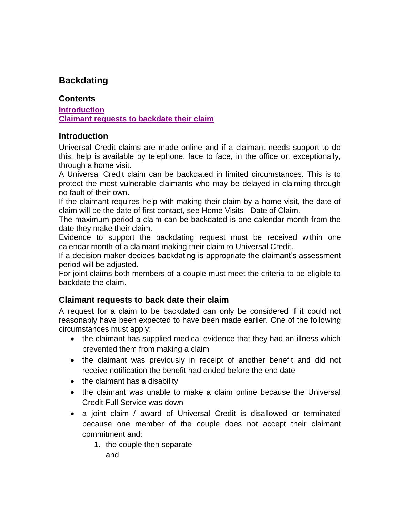## **Backdating**

## **Contents**

**[Introduction](#page-0-0) [Claimant requests to backdate their claim](#page-0-1)**

## <span id="page-0-0"></span>**Introduction**

Universal Credit claims are made online and if a claimant needs support to do this, help is available by telephone, face to face, in the office or, exceptionally, through a home visit.

A Universal Credit claim can be backdated in limited circumstances. This is to protect the most vulnerable claimants who may be delayed in claiming through no fault of their own.

If the claimant requires help with making their claim by a home visit, the date of claim will be the date of first contact, see Home Visits - Date of Claim.

The maximum period a claim can be backdated is one calendar month from the date they make their claim.

Evidence to support the backdating request must be received within one calendar month of a claimant making their claim to Universal Credit.

If a decision maker decides backdating is appropriate the claimant's assessment period will be adjusted.

For joint claims both members of a couple must meet the criteria to be eligible to backdate the claim.

## <span id="page-0-1"></span>**Claimant requests to back date their claim**

A request for a claim to be backdated can only be considered if it could not reasonably have been expected to have been made earlier. One of the following circumstances must apply:

- the claimant has supplied medical evidence that they had an illness which prevented them from making a claim
- the claimant was previously in receipt of another benefit and did not receive notification the benefit had ended before the end date
- the claimant has a disability
- the claimant was unable to make a claim online because the Universal Credit Full Service was down
- a joint claim / award of Universal Credit is disallowed or terminated because one member of the couple does not accept their claimant commitment and:

1. the couple then separate

and